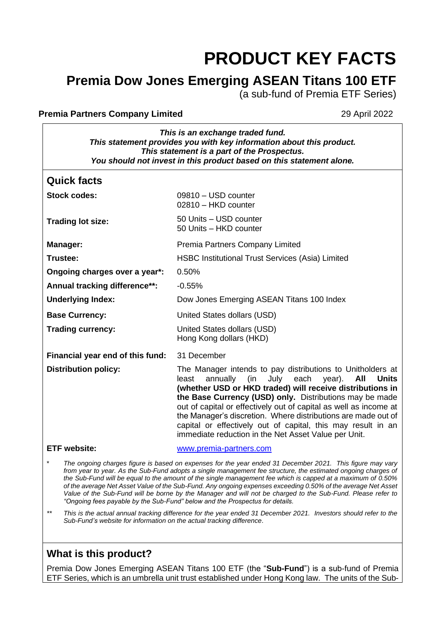# **PRODUCT KEY FACTS**

## **Premia Dow Jones Emerging ASEAN Titans 100 ETF**

(a sub-fund of Premia ETF Series)

#### **Premia Partners Company Limited 29 April 2022**

*This is an exchange traded fund. This statement provides you with key information about this product. This statement is a part of the Prospectus. You should not invest in this product based on this statement alone.*

| <b>Quick facts</b>               |                                                                                                                                                                                                                                                                                                                                                                                                                                                                                                                            |  |
|----------------------------------|----------------------------------------------------------------------------------------------------------------------------------------------------------------------------------------------------------------------------------------------------------------------------------------------------------------------------------------------------------------------------------------------------------------------------------------------------------------------------------------------------------------------------|--|
| <b>Stock codes:</b>              | 09810 - USD counter<br>02810 - HKD counter                                                                                                                                                                                                                                                                                                                                                                                                                                                                                 |  |
| <b>Trading lot size:</b>         | 50 Units - USD counter<br>50 Units - HKD counter                                                                                                                                                                                                                                                                                                                                                                                                                                                                           |  |
| Manager:                         | Premia Partners Company Limited                                                                                                                                                                                                                                                                                                                                                                                                                                                                                            |  |
| Trustee:                         | <b>HSBC Institutional Trust Services (Asia) Limited</b>                                                                                                                                                                                                                                                                                                                                                                                                                                                                    |  |
| Ongoing charges over a year*:    | 0.50%                                                                                                                                                                                                                                                                                                                                                                                                                                                                                                                      |  |
| Annual tracking difference**:    | $-0.55%$                                                                                                                                                                                                                                                                                                                                                                                                                                                                                                                   |  |
| <b>Underlying Index:</b>         | Dow Jones Emerging ASEAN Titans 100 Index                                                                                                                                                                                                                                                                                                                                                                                                                                                                                  |  |
| <b>Base Currency:</b>            | United States dollars (USD)                                                                                                                                                                                                                                                                                                                                                                                                                                                                                                |  |
| <b>Trading currency:</b>         | United States dollars (USD)<br>Hong Kong dollars (HKD)                                                                                                                                                                                                                                                                                                                                                                                                                                                                     |  |
| Financial year end of this fund: | 31 December                                                                                                                                                                                                                                                                                                                                                                                                                                                                                                                |  |
| <b>Distribution policy:</b>      | The Manager intends to pay distributions to Unitholders at<br>July each<br>All<br>annually<br>(in<br>year).<br><b>Units</b><br>least<br>(whether USD or HKD traded) will receive distributions in<br>the Base Currency (USD) only. Distributions may be made<br>out of capital or effectively out of capital as well as income at<br>the Manager's discretion. Where distributions are made out of<br>capital or effectively out of capital, this may result in an<br>immediate reduction in the Net Asset Value per Unit. |  |
| <b>ETF</b> website:              | www.premia-partners.com                                                                                                                                                                                                                                                                                                                                                                                                                                                                                                    |  |
| $\star$                          | The ongoing charges figure is based on expenses for the year ended 31 December 2021. This figure may vary                                                                                                                                                                                                                                                                                                                                                                                                                  |  |

from year to year. As the Sub-Fund adopts a single management fee structure, the estimated ongoing charges of *the Sub-Fund will be equal to the amount of the single management fee which is capped at a maximum of 0.50% of the average Net Asset Value of the Sub-Fund. Any ongoing expenses exceeding 0.50% of the average Net Asset Value of the Sub-Fund will be borne by the Manager and will not be charged to the Sub-Fund. Please refer to "Ongoing fees payable by the Sub-Fund" below and the Prospectus for details.*

*\*\* This is the actual annual tracking difference for the year ended 31 December 2021. Investors should refer to the Sub-Fund's website for information on the actual tracking difference*.

## **What is this product?**

Premia Dow Jones Emerging ASEAN Titans 100 ETF (the "**Sub-Fund**") is a sub-fund of Premia ETF Series, which is an umbrella unit trust established under Hong Kong law. The units of the Sub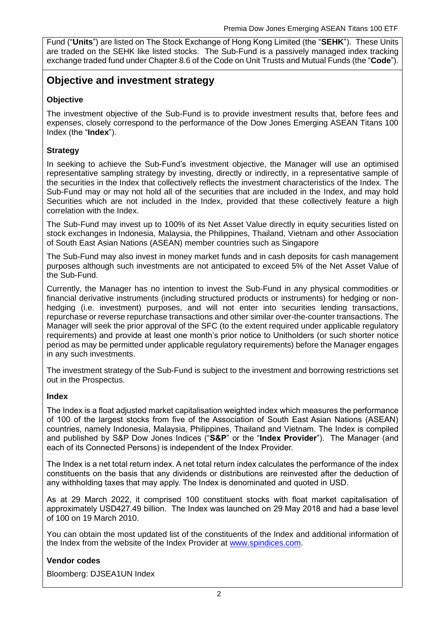Fund ("**Units**") are listed on The Stock Exchange of Hong Kong Limited (the "**SEHK**"). These Units are traded on the SEHK like listed stocks. The Sub-Fund is a passively managed index tracking exchange traded fund under Chapter 8.6 of the Code on Unit Trusts and Mutual Funds (the "**Code**").

## **Objective and investment strategy**

#### **Objective**

The investment objective of the Sub-Fund is to provide investment results that, before fees and expenses, closely correspond to the performance of the Dow Jones Emerging ASEAN Titans 100 Index (the "**Index**").

#### **Strategy**

In seeking to achieve the Sub-Fund's investment objective, the Manager will use an optimised representative sampling strategy by investing, directly or indirectly, in a representative sample of the securities in the Index that collectively reflects the investment characteristics of the Index. The Sub-Fund may or may not hold all of the securities that are included in the Index, and may hold Securities which are not included in the Index, provided that these collectively feature a high correlation with the Index.

The Sub-Fund may invest up to 100% of its Net Asset Value directly in equity securities listed on stock exchanges in Indonesia, Malaysia, the Philippines, Thailand, Vietnam and other Association of South East Asian Nations (ASEAN) member countries such as Singapore

The Sub-Fund may also invest in money market funds and in cash deposits for cash management purposes although such investments are not anticipated to exceed 5% of the Net Asset Value of the Sub-Fund.

Currently, the Manager has no intention to invest the Sub-Fund in any physical commodities or financial derivative instruments (including structured products or instruments) for hedging or nonhedging (i.e. investment) purposes, and will not enter into securities lending transactions, repurchase or reverse repurchase transactions and other similar over-the-counter transactions. The Manager will seek the prior approval of the SFC (to the extent required under applicable regulatory requirements) and provide at least one month's prior notice to Unitholders (or such shorter notice period as may be permitted under applicable regulatory requirements) before the Manager engages in any such investments.

The investment strategy of the Sub-Fund is subject to the investment and borrowing restrictions set out in the Prospectus.

#### **Index**

The Index is a float adjusted market capitalisation weighted index which measures the performance of 100 of the largest stocks from five of the Association of South East Asian Nations (ASEAN) countries, namely Indonesia, Malaysia, Philippines, Thailand and Vietnam. The Index is compiled and published by S&P Dow Jones Indices ("**S&P**" or the "**Index Provider**"). The Manager (and each of its Connected Persons) is independent of the Index Provider.

The Index is a net total return index. A net total return index calculates the performance of the index constituents on the basis that any dividends or distributions are reinvested after the deduction of any withholding taxes that may apply. The Index is denominated and quoted in USD.

As at 29 March 2022, it comprised 100 constituent stocks with float market capitalisation of approximately USD427.49 billion. The Index was launched on 29 May 2018 and had a base level of 100 on 19 March 2010.

You can obtain the most updated list of the constituents of the Index and additional information of the Index from the website of the Index Provider at [www.spindices.com.](http://www.spindices.com/)

#### **Vendor codes**

Bloomberg: DJSEA1UN Index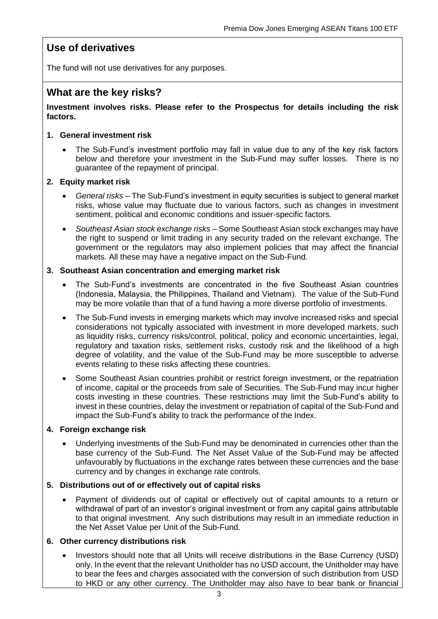## **Use of derivatives**

The fund will not use derivatives for any purposes.

### **What are the key risks?**

#### **Investment involves risks. Please refer to the Prospectus for details including the risk factors.**

#### **1. General investment risk**

• The Sub-Fund's investment portfolio may fall in value due to any of the key risk factors below and therefore your investment in the Sub-Fund may suffer losses. There is no guarantee of the repayment of principal.

#### **2. Equity market risk**

- *General risks* The Sub-Fund's investment in equity securities is subject to general market risks, whose value may fluctuate due to various factors, such as changes in investment sentiment, political and economic conditions and issuer-specific factors.
- *Southeast Asian stock exchange risks* Some Southeast Asian stock exchanges may have the right to suspend or limit trading in any security traded on the relevant exchange. The government or the regulators may also implement policies that may affect the financial markets. All these may have a negative impact on the Sub-Fund.

#### **3. Southeast Asian concentration and emerging market risk**

- The Sub-Fund's investments are concentrated in the five Southeast Asian countries (Indonesia, Malaysia, the Philippines, Thailand and Vietnam). The value of the Sub-Fund may be more volatile than that of a fund having a more diverse portfolio of investments.
- The Sub-Fund invests in emerging markets which may involve increased risks and special considerations not typically associated with investment in more developed markets, such as liquidity risks, currency risks/control, political, policy and economic uncertainties, legal, regulatory and taxation risks, settlement risks, custody risk and the likelihood of a high degree of volatility, and the value of the Sub-Fund may be more susceptible to adverse events relating to these risks affecting these countries.
- Some Southeast Asian countries prohibit or restrict foreign investment, or the repatriation of income, capital or the proceeds from sale of Securities. The Sub-Fund may incur higher costs investing in these countries. These restrictions may limit the Sub-Fund's ability to invest in these countries, delay the investment or repatriation of capital of the Sub-Fund and impact the Sub-Fund's ability to track the performance of the Index.

#### **4. Foreign exchange risk**

• Underlying investments of the Sub-Fund may be denominated in currencies other than the base currency of the Sub-Fund. The Net Asset Value of the Sub-Fund may be affected unfavourably by fluctuations in the exchange rates between these currencies and the base currency and by changes in exchange rate controls.

#### **5. Distributions out of or effectively out of capital risks**

• Payment of dividends out of capital or effectively out of capital amounts to a return or withdrawal of part of an investor's original investment or from any capital gains attributable to that original investment. Any such distributions may result in an immediate reduction in the Net Asset Value per Unit of the Sub-Fund.

#### **6. Other currency distributions risk**

• Investors should note that all Units will receive distributions in the Base Currency (USD) only. In the event that the relevant Unitholder has no USD account, the Unitholder may have to bear the fees and charges associated with the conversion of such distribution from USD to HKD or any other currency. The Unitholder may also have to bear bank or financial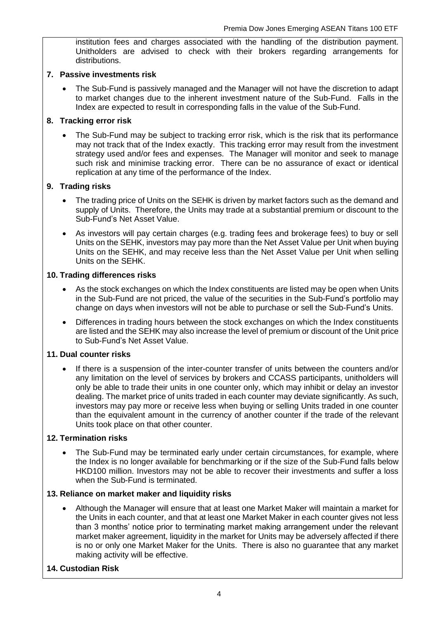institution fees and charges associated with the handling of the distribution payment. Unitholders are advised to check with their brokers regarding arrangements for distributions.

#### **7. Passive investments risk**

• The Sub-Fund is passively managed and the Manager will not have the discretion to adapt to market changes due to the inherent investment nature of the Sub-Fund. Falls in the Index are expected to result in corresponding falls in the value of the Sub-Fund.

#### **8. Tracking error risk**

The Sub-Fund may be subject to tracking error risk, which is the risk that its performance may not track that of the Index exactly. This tracking error may result from the investment strategy used and/or fees and expenses. The Manager will monitor and seek to manage such risk and minimise tracking error. There can be no assurance of exact or identical replication at any time of the performance of the Index.

#### **9. Trading risks**

- The trading price of Units on the SEHK is driven by market factors such as the demand and supply of Units. Therefore, the Units may trade at a substantial premium or discount to the Sub-Fund's Net Asset Value.
- As investors will pay certain charges (e.g. trading fees and brokerage fees) to buy or sell Units on the SEHK, investors may pay more than the Net Asset Value per Unit when buying Units on the SEHK, and may receive less than the Net Asset Value per Unit when selling Units on the SEHK.

#### **10. Trading differences risks**

- As the stock exchanges on which the Index constituents are listed may be open when Units in the Sub-Fund are not priced, the value of the securities in the Sub-Fund's portfolio may change on days when investors will not be able to purchase or sell the Sub-Fund's Units.
- Differences in trading hours between the stock exchanges on which the Index constituents are listed and the SEHK may also increase the level of premium or discount of the Unit price to Sub-Fund's Net Asset Value.

#### **11. Dual counter risks**

• If there is a suspension of the inter-counter transfer of units between the counters and/or any limitation on the level of services by brokers and CCASS participants, unitholders will only be able to trade their units in one counter only, which may inhibit or delay an investor dealing. The market price of units traded in each counter may deviate significantly. As such, investors may pay more or receive less when buying or selling Units traded in one counter than the equivalent amount in the currency of another counter if the trade of the relevant Units took place on that other counter.

#### **12. Termination risks**

The Sub-Fund may be terminated early under certain circumstances, for example, where the Index is no longer available for benchmarking or if the size of the Sub-Fund falls below HKD100 million. Investors may not be able to recover their investments and suffer a loss when the Sub-Fund is terminated.

#### **13. Reliance on market maker and liquidity risks**

• Although the Manager will ensure that at least one Market Maker will maintain a market for the Units in each counter, and that at least one Market Maker in each counter gives not less than 3 months' notice prior to terminating market making arrangement under the relevant market maker agreement, liquidity in the market for Units may be adversely affected if there is no or only one Market Maker for the Units. There is also no guarantee that any market making activity will be effective.

#### **14. Custodian Risk**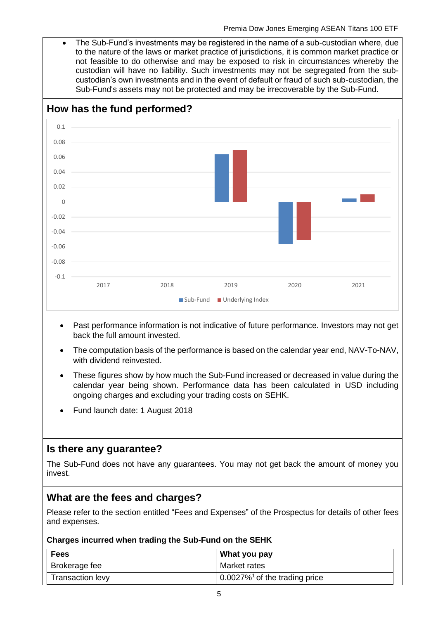• The Sub-Fund's investments may be registered in the name of a sub-custodian where, due to the nature of the laws or market practice of jurisdictions, it is common market practice or not feasible to do otherwise and may be exposed to risk in circumstances whereby the custodian will have no liability. Such investments may not be segregated from the subcustodian's own investments and in the event of default or fraud of such sub-custodian, the Sub-Fund's assets may not be protected and may be irrecoverable by the Sub-Fund.



- Past performance information is not indicative of future performance. Investors may not get back the full amount invested.
- The computation basis of the performance is based on the calendar year end, NAV-To-NAV, with dividend reinvested.
- These figures show by how much the Sub-Fund increased or decreased in value during the calendar year being shown. Performance data has been calculated in USD including ongoing charges and excluding your trading costs on SEHK.
- Fund launch date: 1 August 2018

## **Is there any guarantee?**

The Sub-Fund does not have any guarantees. You may not get back the amount of money you invest.

## **What are the fees and charges?**

Please refer to the section entitled "Fees and Expenses" of the Prospectus for details of other fees and expenses.

#### **Charges incurred when trading the Sub-Fund on the SEHK**

| <b>Fees</b>             | What you pay                                 |
|-------------------------|----------------------------------------------|
| Brokerage fee           | Market rates                                 |
| <b>Transaction levy</b> | $0.0027\%$ <sup>1</sup> of the trading price |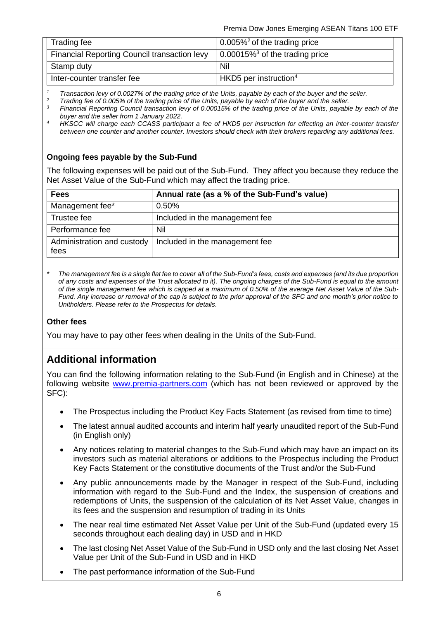| Trading fee                                  | 0.005% <sup>2</sup> of the trading price           |
|----------------------------------------------|----------------------------------------------------|
| Financial Reporting Council transaction levy | $\vert$ 0.00015% <sup>3</sup> of the trading price |
| Stamp duty                                   | Nil                                                |
| Inter-counter transfer fee                   | $HKD5$ per instruction <sup>4</sup>                |

*<sup>1</sup> Transaction levy of 0.0027% of the trading price of the Units, payable by each of the buyer and the seller.*

<sup>2</sup> *Trading fee of 0.005% of the trading price of the Units, payable by each of the buyer and the seller.*<br><sup>3</sup> Financial Peperting Council transaction low of 0.00015% of the trading price of the Units, payable

*<sup>3</sup> Financial Reporting Council transaction levy of 0.00015% of the trading price of the Units, payable by each of the buyer and the seller from 1 January 2022.*

*<sup>4</sup>HKSCC will charge each CCASS participant a fee of HKD5 per instruction for effecting an inter-counter transfer between one counter and another counter. Investors should check with their brokers regarding any additional fees.*

#### **Ongoing fees payable by the Sub-Fund**

The following expenses will be paid out of the Sub-Fund. They affect you because they reduce the Net Asset Value of the Sub-Fund which may affect the trading price.

| <b>Fees</b>                        | Annual rate (as a % of the Sub-Fund's value) |
|------------------------------------|----------------------------------------------|
| Management fee*                    | 0.50%                                        |
| Trustee fee                        | Included in the management fee               |
| Performance fee                    | Nil                                          |
| Administration and custody<br>fees | Included in the management fee               |

*\* The management fee is a single flat fee to cover all of the Sub-Fund's fees, costs and expenses (and its due proportion of any costs and expenses of the Trust allocated to it). The ongoing charges of the Sub-Fund is equal to the amount of the single management fee which is capped at a maximum of 0.50% of the average Net Asset Value of the Sub-Fund. Any increase or removal of the cap is subject to the prior approval of the SFC and one month's prior notice to Unitholders. Please refer to the Prospectus for details.*

#### **Other fees**

You may have to pay other fees when dealing in the Units of the Sub-Fund.

## **Additional information**

You can find the following information relating to the Sub-Fund (in English and in Chinese) at the following website [www.premia-partners.com](http://www.premia-partners.com/) (which has not been reviewed or approved by the SFC):

- The Prospectus including the Product Key Facts Statement (as revised from time to time)
- The latest annual audited accounts and interim half yearly unaudited report of the Sub-Fund (in English only)
- Any notices relating to material changes to the Sub-Fund which may have an impact on its investors such as material alterations or additions to the Prospectus including the Product Key Facts Statement or the constitutive documents of the Trust and/or the Sub-Fund
- Any public announcements made by the Manager in respect of the Sub-Fund, including information with regard to the Sub-Fund and the Index, the suspension of creations and redemptions of Units, the suspension of the calculation of its Net Asset Value, changes in its fees and the suspension and resumption of trading in its Units
- The near real time estimated Net Asset Value per Unit of the Sub-Fund (updated every 15 seconds throughout each dealing day) in USD and in HKD
- The last closing Net Asset Value of the Sub-Fund in USD only and the last closing Net Asset Value per Unit of the Sub-Fund in USD and in HKD
- The past performance information of the Sub-Fund